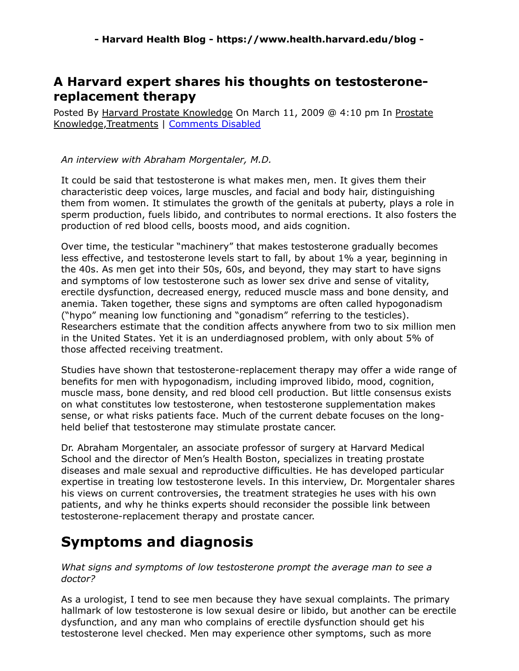# **A Harvard expert shares his thoughts on testosteronereplacement therapy**

Posted By Harvard Prostate Knowledge On March 11, 2009 @ 4:10 pm In Prostate Knowledge,Treatments | Comments Disabled

### *An interview with Abraham Morgentaler, M.D.*

It could be said that testosterone is what makes men, men. It gives them their characteristic deep voices, large muscles, and facial and body hair, distinguishing them from women. It stimulates the growth of the genitals at puberty, plays a role in sperm production, fuels libido, and contributes to normal erections. It also fosters the production of red blood cells, boosts mood, and aids cognition.

Over time, the testicular "machinery" that makes testosterone gradually becomes less effective, and testosterone levels start to fall, by about 1% a year, beginning in the 40s. As men get into their 50s, 60s, and beyond, they may start to have signs and symptoms of low testosterone such as lower sex drive and sense of vitality, erectile dysfunction, decreased energy, reduced muscle mass and bone density, and anemia. Taken together, these signs and symptoms are often called hypogonadism ("hypo" meaning low functioning and "gonadism" referring to the testicles). Researchers estimate that the condition affects anywhere from two to six million men in the United States. Yet it is an underdiagnosed problem, with only about 5% of those affected receiving treatment.

Studies have shown that testosterone-replacement therapy may offer a wide range of benefits for men with hypogonadism, including improved libido, mood, cognition, muscle mass, bone density, and red blood cell production. But little consensus exists on what constitutes low testosterone, when testosterone supplementation makes sense, or what risks patients face. Much of the current debate focuses on the longheld belief that testosterone may stimulate prostate cancer.

Dr. Abraham Morgentaler, an associate professor of surgery at Harvard Medical School and the director of Men's Health Boston, specializes in treating prostate diseases and male sexual and reproductive difficulties. He has developed particular expertise in treating low testosterone levels. In this interview, Dr. Morgentaler shares his views on current controversies, the treatment strategies he uses with his own patients, and why he thinks experts should reconsider the possible link between testosterone-replacement therapy and prostate cancer.

# **Symptoms and diagnosis**

*What signs and symptoms of low testosterone prompt the average man to see a doctor?*

As a urologist, I tend to see men because they have sexual complaints. The primary hallmark of low testosterone is low sexual desire or libido, but another can be erectile dysfunction, and any man who complains of erectile dysfunction should get his testosterone level checked. Men may experience other symptoms, such as more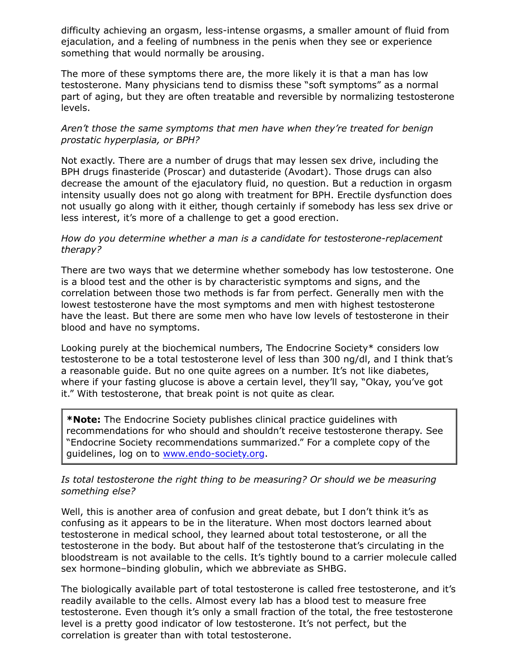difficulty achieving an orgasm, less-intense orgasms, a smaller amount of fluid from ejaculation, and a feeling of numbness in the penis when they see or experience something that would normally be arousing.

The more of these symptoms there are, the more likely it is that a man has low testosterone. Many physicians tend to dismiss these "soft symptoms" as a normal part of aging, but they are often treatable and reversible by normalizing testosterone levels.

#### *Aren't those the same symptoms that men have when they're treated for benign prostatic hyperplasia, or BPH?*

Not exactly. There are a number of drugs that may lessen sex drive, including the BPH drugs finasteride (Proscar) and dutasteride (Avodart). Those drugs can also decrease the amount of the ejaculatory fluid, no question. But a reduction in orgasm intensity usually does not go along with treatment for BPH. Erectile dysfunction does not usually go along with it either, though certainly if somebody has less sex drive or less interest, it's more of a challenge to get a good erection.

#### *How do you determine whether a man is a candidate for testosterone-replacement therapy?*

There are two ways that we determine whether somebody has low testosterone. One is a blood test and the other is by characteristic symptoms and signs, and the correlation between those two methods is far from perfect. Generally men with the lowest testosterone have the most symptoms and men with highest testosterone have the least. But there are some men who have low levels of testosterone in their blood and have no symptoms.

Looking purely at the biochemical numbers, The Endocrine Society\* considers low testosterone to be a total testosterone level of less than 300 ng/dl, and I think that's a reasonable guide. But no one quite agrees on a number. It's not like diabetes, where if your fasting glucose is above a certain level, they'll say, "Okay, you've got it." With testosterone, that break point is not quite as clear.

**\*Note:** The Endocrine Society publishes clinical practice guidelines with recommendations for who should and shouldn't receive testosterone therapy. See "Endocrine Society recommendations summarized." For a complete copy of the guidelines, log on to [www.endo-society.org](http://www.endo-society.org/).

#### *Is total testosterone the right thing to be measuring? Or should we be measuring something else?*

Well, this is another area of confusion and great debate, but I don't think it's as confusing as it appears to be in the literature. When most doctors learned about testosterone in medical school, they learned about total testosterone, or all the testosterone in the body. But about half of the testosterone that's circulating in the bloodstream is not available to the cells. It's tightly bound to a carrier molecule called sex hormone–binding globulin, which we abbreviate as SHBG.

The biologically available part of total testosterone is called free testosterone, and it's readily available to the cells. Almost every lab has a blood test to measure free testosterone. Even though it's only a small fraction of the total, the free testosterone level is a pretty good indicator of low testosterone. It's not perfect, but the correlation is greater than with total testosterone.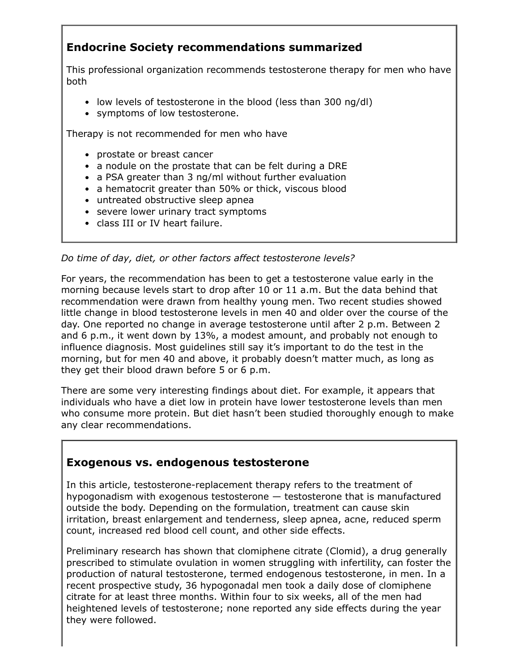# **Endocrine Society recommendations summarized**

This professional organization recommends testosterone therapy for men who have both

- low levels of testosterone in the blood (less than 300 ng/dl)
- symptoms of low testosterone.

Therapy is not recommended for men who have

- prostate or breast cancer
- a nodule on the prostate that can be felt during a DRE
- a PSA greater than 3 ng/ml without further evaluation
- a hematocrit greater than 50% or thick, viscous blood
- untreated obstructive sleep apnea
- severe lower urinary tract symptoms
- class III or IV heart failure.

*Do time of day, diet, or other factors affect testosterone levels?*

For years, the recommendation has been to get a testosterone value early in the morning because levels start to drop after 10 or 11 a.m. But the data behind that recommendation were drawn from healthy young men. Two recent studies showed little change in blood testosterone levels in men 40 and older over the course of the day. One reported no change in average testosterone until after 2 p.m. Between 2 and 6 p.m., it went down by 13%, a modest amount, and probably not enough to influence diagnosis. Most guidelines still say it's important to do the test in the morning, but for men 40 and above, it probably doesn't matter much, as long as they get their blood drawn before 5 or 6 p.m.

There are some very interesting findings about diet. For example, it appears that individuals who have a diet low in protein have lower testosterone levels than men who consume more protein. But diet hasn't been studied thoroughly enough to make any clear recommendations.

# **Exogenous vs. endogenous testosterone**

In this article, testosterone-replacement therapy refers to the treatment of hypogonadism with exogenous testosterone — testosterone that is manufactured outside the body. Depending on the formulation, treatment can cause skin irritation, breast enlargement and tenderness, sleep apnea, acne, reduced sperm count, increased red blood cell count, and other side effects.

Preliminary research has shown that clomiphene citrate (Clomid), a drug generally prescribed to stimulate ovulation in women struggling with infertility, can foster the production of natural testosterone, termed endogenous testosterone, in men. In a recent prospective study, 36 hypogonadal men took a daily dose of clomiphene citrate for at least three months. Within four to six weeks, all of the men had heightened levels of testosterone; none reported any side effects during the year they were followed.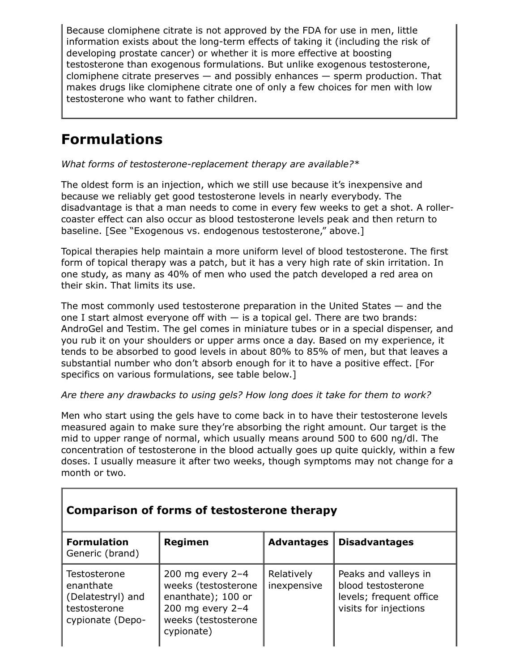Because clomiphene citrate is not approved by the FDA for use in men, little information exists about the long-term effects of taking it (including the risk of developing prostate cancer) or whether it is more effective at boosting testosterone than exogenous formulations. But unlike exogenous testosterone, clomiphene citrate preserves  $-$  and possibly enhances  $-$  sperm production. That makes drugs like clomiphene citrate one of only a few choices for men with low testosterone who want to father children.

# **Formulations**

*What forms of testosterone-replacement therapy are available?\**

The oldest form is an injection, which we still use because it's inexpensive and because we reliably get good testosterone levels in nearly everybody. The disadvantage is that a man needs to come in every few weeks to get a shot. A rollercoaster effect can also occur as blood testosterone levels peak and then return to baseline. [See "Exogenous vs. endogenous testosterone," above.]

Topical therapies help maintain a more uniform level of blood testosterone. The first form of topical therapy was a patch, but it has a very high rate of skin irritation. In one study, as many as 40% of men who used the patch developed a red area on their skin. That limits its use.

The most commonly used testosterone preparation in the United States — and the one I start almost everyone off with  $-$  is a topical gel. There are two brands: AndroGel and Testim. The gel comes in miniature tubes or in a special dispenser, and you rub it on your shoulders or upper arms once a day. Based on my experience, it tends to be absorbed to good levels in about 80% to 85% of men, but that leaves a substantial number who don't absorb enough for it to have a positive effect. [For specifics on various formulations, see table below.]

## *Are there any drawbacks to using gels? How long does it take for them to work?*

Men who start using the gels have to come back in to have their testosterone levels measured again to make sure they're absorbing the right amount. Our target is the mid to upper range of normal, which usually means around 500 to 600 ng/dl. The concentration of testosterone in the blood actually goes up quite quickly, within a few doses. I usually measure it after two weeks, though symptoms may not change for a month or two.

| Comparison of forms of testosterone therapy                                        |                                                                                                                          |                           |                                                                                                |  |  |
|------------------------------------------------------------------------------------|--------------------------------------------------------------------------------------------------------------------------|---------------------------|------------------------------------------------------------------------------------------------|--|--|
| <b>Formulation</b><br>Generic (brand)                                              | Regimen                                                                                                                  | <b>Advantages</b>         | <b>Disadvantages</b>                                                                           |  |  |
| Testosterone<br>enanthate<br>(Delatestryl) and<br>testosterone<br>cypionate (Depo- | 200 mg every $2-4$<br>weeks (testosterone<br>enanthate); 100 or<br>200 mg every 2-4<br>weeks (testosterone<br>cypionate) | Relatively<br>inexpensive | Peaks and valleys in<br>blood testosterone<br>levels; frequent office<br>visits for injections |  |  |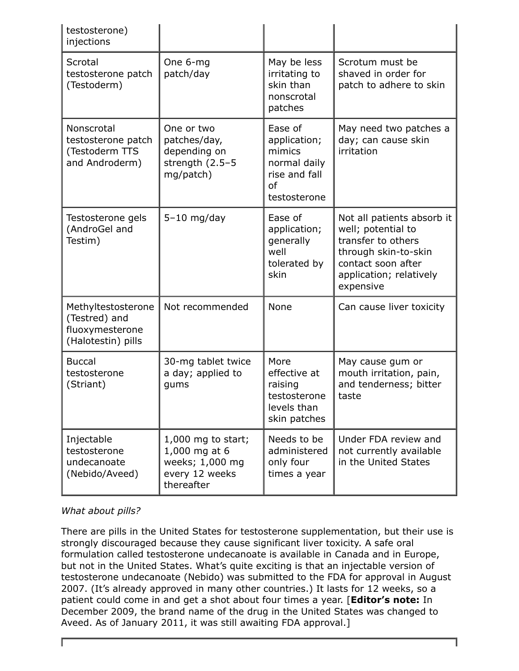| testosterone)<br>injections                                                  |                                                                                          |                                                                                          |                                                                                                                                                              |
|------------------------------------------------------------------------------|------------------------------------------------------------------------------------------|------------------------------------------------------------------------------------------|--------------------------------------------------------------------------------------------------------------------------------------------------------------|
| Scrotal<br>testosterone patch<br>(Testoderm)                                 | One 6-mg<br>patch/day                                                                    | May be less<br>irritating to<br>skin than<br>nonscrotal<br>patches                       | Scrotum must be<br>shaved in order for<br>patch to adhere to skin                                                                                            |
| Nonscrotal<br>testosterone patch<br>(Testoderm TTS<br>and Androderm)         | One or two<br>patches/day,<br>depending on<br>strength $(2.5-5)$<br>mg/patch)            | Ease of<br>application;<br>mimics<br>normal daily<br>rise and fall<br>of<br>testosterone | May need two patches a<br>day; can cause skin<br>irritation                                                                                                  |
| Testosterone gels<br>(AndroGel and<br>Testim)                                | $5-10$ mg/day                                                                            | Ease of<br>application;<br>generally<br>well<br>tolerated by<br>skin                     | Not all patients absorb it<br>well; potential to<br>transfer to others<br>through skin-to-skin<br>contact soon after<br>application; relatively<br>expensive |
| Methyltestosterone<br>(Testred) and<br>fluoxymesterone<br>(Halotestin) pills | Not recommended                                                                          | None                                                                                     | Can cause liver toxicity                                                                                                                                     |
| <b>Buccal</b><br>testosterone<br>(Striant)                                   | 30-mg tablet twice<br>a day; applied to<br>gums                                          | More<br>effective at<br>raising<br>testosterone<br>levels than<br>skin patches           | May cause gum or<br>mouth irritation, pain,<br>and tenderness; bitter<br>taste                                                                               |
| Injectable<br>testosterone<br>undecanoate<br>(Nebido/Aveed)                  | $1,000$ mg to start;<br>1,000 mg at 6<br>weeks; 1,000 mg<br>every 12 weeks<br>thereafter | Needs to be<br>administered<br>only four<br>times a year                                 | Under FDA review and<br>not currently available<br>in the United States                                                                                      |

## *What about pills?*

There are pills in the United States for testosterone supplementation, but their use is strongly discouraged because they cause significant liver toxicity. A safe oral formulation called testosterone undecanoate is available in Canada and in Europe, but not in the United States. What's quite exciting is that an injectable version of testosterone undecanoate (Nebido) was submitted to the FDA for approval in August 2007. (It's already approved in many other countries.) It lasts for 12 weeks, so a patient could come in and get a shot about four times a year. [**Editor's note:** In December 2009, the brand name of the drug in the United States was changed to Aveed. As of January 2011, it was still awaiting FDA approval.]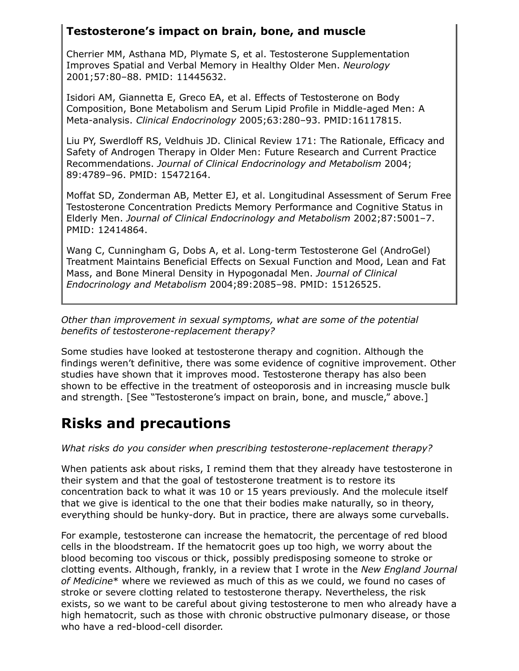# **Testosterone's impact on brain, bone, and muscle**

Cherrier MM, Asthana MD, Plymate S, et al. Testosterone Supplementation Improves Spatial and Verbal Memory in Healthy Older Men. *Neurology* 2001;57:80–88. PMID: 11445632.

Isidori AM, Giannetta E, Greco EA, et al. Effects of Testosterone on Body Composition, Bone Metabolism and Serum Lipid Profile in Middle-aged Men: A Meta-analysis. *Clinical Endocrinology* 2005;63:280–93. PMID:16117815.

Liu PY, Swerdloff RS, Veldhuis JD. Clinical Review 171: The Rationale, Efficacy and Safety of Androgen Therapy in Older Men: Future Research and Current Practice Recommendations. *Journal of Clinical Endocrinology and Metabolism* 2004; 89:4789–96. PMID: 15472164.

Moffat SD, Zonderman AB, Metter EJ, et al. Longitudinal Assessment of Serum Free Testosterone Concentration Predicts Memory Performance and Cognitive Status in Elderly Men. *Journal of Clinical Endocrinology and Metabolism* 2002;87:5001–7. PMID: 12414864.

Wang C, Cunningham G, Dobs A, et al. Long-term Testosterone Gel (AndroGel) Treatment Maintains Beneficial Effects on Sexual Function and Mood, Lean and Fat Mass, and Bone Mineral Density in Hypogonadal Men. *Journal of Clinical Endocrinology and Metabolism* 2004;89:2085–98. PMID: 15126525.

*Other than improvement in sexual symptoms, what are some of the potential benefits of testosterone-replacement therapy?*

Some studies have looked at testosterone therapy and cognition. Although the findings weren't definitive, there was some evidence of cognitive improvement. Other studies have shown that it improves mood. Testosterone therapy has also been shown to be effective in the treatment of osteoporosis and in increasing muscle bulk and strength. [See "Testosterone's impact on brain, bone, and muscle," above.]

# **Risks and precautions**

## *What risks do you consider when prescribing testosterone-replacement therapy?*

When patients ask about risks, I remind them that they already have testosterone in their system and that the goal of testosterone treatment is to restore its concentration back to what it was 10 or 15 years previously. And the molecule itself that we give is identical to the one that their bodies make naturally, so in theory, everything should be hunky-dory. But in practice, there are always some curveballs.

For example, testosterone can increase the hematocrit, the percentage of red blood cells in the bloodstream. If the hematocrit goes up too high, we worry about the blood becoming too viscous or thick, possibly predisposing someone to stroke or clotting events. Although, frankly, in a review that I wrote in the *New England Journal of Medicine*\* where we reviewed as much of this as we could, we found no cases of stroke or severe clotting related to testosterone therapy. Nevertheless, the risk exists, so we want to be careful about giving testosterone to men who already have a high hematocrit, such as those with chronic obstructive pulmonary disease, or those who have a red-blood-cell disorder.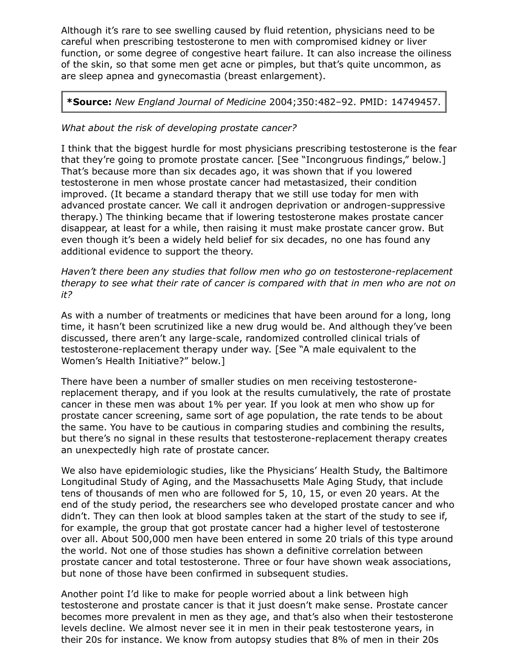Although it's rare to see swelling caused by fluid retention, physicians need to be careful when prescribing testosterone to men with compromised kidney or liver function, or some degree of congestive heart failure. It can also increase the oiliness of the skin, so that some men get acne or pimples, but that's quite uncommon, as are sleep apnea and gynecomastia (breast enlargement).

## **\*Source:** *New England Journal of Medicine* 2004;350:482–92. PMID: 14749457.

## *What about the risk of developing prostate cancer?*

I think that the biggest hurdle for most physicians prescribing testosterone is the fear that they're going to promote prostate cancer. [See "Incongruous findings," below.] That's because more than six decades ago, it was shown that if you lowered testosterone in men whose prostate cancer had metastasized, their condition improved. (It became a standard therapy that we still use today for men with advanced prostate cancer. We call it androgen deprivation or androgen-suppressive therapy.) The thinking became that if lowering testosterone makes prostate cancer disappear, at least for a while, then raising it must make prostate cancer grow. But even though it's been a widely held belief for six decades, no one has found any additional evidence to support the theory.

*Haven't there been any studies that follow men who go on testosterone-replacement therapy to see what their rate of cancer is compared with that in men who are not on it?*

As with a number of treatments or medicines that have been around for a long, long time, it hasn't been scrutinized like a new drug would be. And although they've been discussed, there aren't any large-scale, randomized controlled clinical trials of testosterone-replacement therapy under way. [See "A male equivalent to the Women's Health Initiative?" below.]

There have been a number of smaller studies on men receiving testosteronereplacement therapy, and if you look at the results cumulatively, the rate of prostate cancer in these men was about 1% per year. If you look at men who show up for prostate cancer screening, same sort of age population, the rate tends to be about the same. You have to be cautious in comparing studies and combining the results, but there's no signal in these results that testosterone-replacement therapy creates an unexpectedly high rate of prostate cancer.

We also have epidemiologic studies, like the Physicians' Health Study, the Baltimore Longitudinal Study of Aging, and the Massachusetts Male Aging Study, that include tens of thousands of men who are followed for 5, 10, 15, or even 20 years. At the end of the study period, the researchers see who developed prostate cancer and who didn't. They can then look at blood samples taken at the start of the study to see if, for example, the group that got prostate cancer had a higher level of testosterone over all. About 500,000 men have been entered in some 20 trials of this type around the world. Not one of those studies has shown a definitive correlation between prostate cancer and total testosterone. Three or four have shown weak associations, but none of those have been confirmed in subsequent studies.

Another point I'd like to make for people worried about a link between high testosterone and prostate cancer is that it just doesn't make sense. Prostate cancer becomes more prevalent in men as they age, and that's also when their testosterone levels decline. We almost never see it in men in their peak testosterone years, in their 20s for instance. We know from autopsy studies that 8% of men in their 20s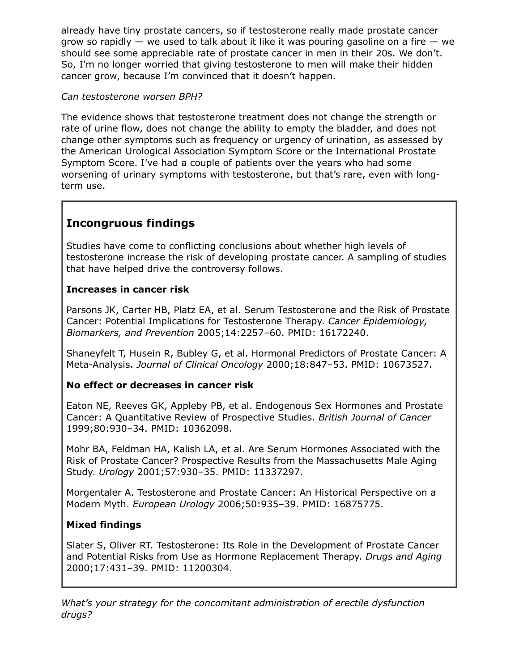already have tiny prostate cancers, so if testosterone really made prostate cancer grow so rapidly  $-$  we used to talk about it like it was pouring gasoline on a fire  $-$  we should see some appreciable rate of prostate cancer in men in their 20s. We don't. So, I'm no longer worried that giving testosterone to men will make their hidden cancer grow, because I'm convinced that it doesn't happen.

### *Can testosterone worsen BPH?*

The evidence shows that testosterone treatment does not change the strength or rate of urine flow, does not change the ability to empty the bladder, and does not change other symptoms such as frequency or urgency of urination, as assessed by the American Urological Association Symptom Score or the International Prostate Symptom Score. I've had a couple of patients over the years who had some worsening of urinary symptoms with testosterone, but that's rare, even with longterm use.

# **Incongruous findings**

Studies have come to conflicting conclusions about whether high levels of testosterone increase the risk of developing prostate cancer. A sampling of studies that have helped drive the controversy follows.

## **Increases in cancer risk**

Parsons JK, Carter HB, Platz EA, et al. Serum Testosterone and the Risk of Prostate Cancer: Potential Implications for Testosterone Therapy. *Cancer Epidemiology, Biomarkers, and Prevention* 2005;14:2257–60. PMID: 16172240.

Shaneyfelt T, Husein R, Bubley G, et al. Hormonal Predictors of Prostate Cancer: A Meta-Analysis. *Journal of Clinical Oncology* 2000;18:847–53. PMID: 10673527.

## **No effect or decreases in cancer risk**

Eaton NE, Reeves GK, Appleby PB, et al. Endogenous Sex Hormones and Prostate Cancer: A Quantitative Review of Prospective Studies. *British Journal of Cancer* 1999;80:930–34. PMID: 10362098.

Mohr BA, Feldman HA, Kalish LA, et al. Are Serum Hormones Associated with the Risk of Prostate Cancer? Prospective Results from the Massachusetts Male Aging Study. *Urology* 2001;57:930–35. PMID: 11337297.

Morgentaler A. Testosterone and Prostate Cancer: An Historical Perspective on a Modern Myth. *European Urology* 2006;50:935–39. PMID: 16875775.

## **Mixed findings**

Slater S, Oliver RT. Testosterone: Its Role in the Development of Prostate Cancer and Potential Risks from Use as Hormone Replacement Therapy. *Drugs and Aging* 2000;17:431–39. PMID: 11200304.

*What's your strategy for the concomitant administration of erectile dysfunction drugs?*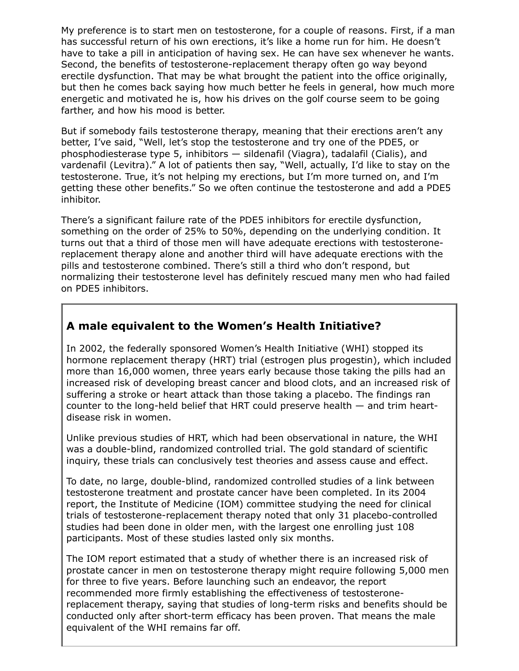My preference is to start men on testosterone, for a couple of reasons. First, if a man has successful return of his own erections, it's like a home run for him. He doesn't have to take a pill in anticipation of having sex. He can have sex whenever he wants. Second, the benefits of testosterone-replacement therapy often go way beyond erectile dysfunction. That may be what brought the patient into the office originally, but then he comes back saying how much better he feels in general, how much more energetic and motivated he is, how his drives on the golf course seem to be going farther, and how his mood is better.

But if somebody fails testosterone therapy, meaning that their erections aren't any better, I've said, "Well, let's stop the testosterone and try one of the PDE5, or phosphodiesterase type 5, inhibitors — sildenafil (Viagra), tadalafil (Cialis), and vardenafil (Levitra)." A lot of patients then say, "Well, actually, I'd like to stay on the testosterone. True, it's not helping my erections, but I'm more turned on, and I'm getting these other benefits." So we often continue the testosterone and add a PDE5 inhibitor.

There's a significant failure rate of the PDE5 inhibitors for erectile dysfunction, something on the order of 25% to 50%, depending on the underlying condition. It turns out that a third of those men will have adequate erections with testosteronereplacement therapy alone and another third will have adequate erections with the pills and testosterone combined. There's still a third who don't respond, but normalizing their testosterone level has definitely rescued many men who had failed on PDE5 inhibitors.

# **A male equivalent to the Women's Health Initiative?**

In 2002, the federally sponsored Women's Health Initiative (WHI) stopped its hormone replacement therapy (HRT) trial (estrogen plus progestin), which included more than 16,000 women, three years early because those taking the pills had an increased risk of developing breast cancer and blood clots, and an increased risk of suffering a stroke or heart attack than those taking a placebo. The findings ran counter to the long-held belief that HRT could preserve health — and trim heartdisease risk in women.

Unlike previous studies of HRT, which had been observational in nature, the WHI was a double-blind, randomized controlled trial. The gold standard of scientific inquiry, these trials can conclusively test theories and assess cause and effect.

To date, no large, double-blind, randomized controlled studies of a link between testosterone treatment and prostate cancer have been completed. In its 2004 report, the Institute of Medicine (IOM) committee studying the need for clinical trials of testosterone-replacement therapy noted that only 31 placebo-controlled studies had been done in older men, with the largest one enrolling just 108 participants. Most of these studies lasted only six months.

The IOM report estimated that a study of whether there is an increased risk of prostate cancer in men on testosterone therapy might require following 5,000 men for three to five years. Before launching such an endeavor, the report recommended more firmly establishing the effectiveness of testosteronereplacement therapy, saying that studies of long-term risks and benefits should be conducted only after short-term efficacy has been proven. That means the male equivalent of the WHI remains far off.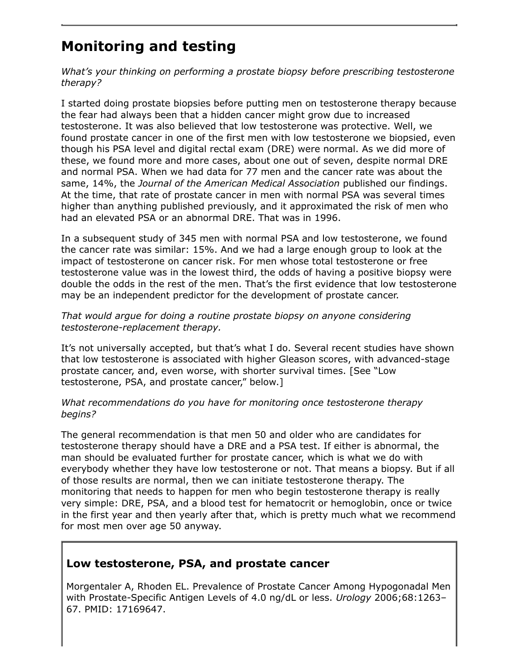# **Monitoring and testing**

*What's your thinking on performing a prostate biopsy before prescribing testosterone therapy?*

I started doing prostate biopsies before putting men on testosterone therapy because the fear had always been that a hidden cancer might grow due to increased testosterone. It was also believed that low testosterone was protective. Well, we found prostate cancer in one of the first men with low testosterone we biopsied, even though his PSA level and digital rectal exam (DRE) were normal. As we did more of these, we found more and more cases, about one out of seven, despite normal DRE and normal PSA. When we had data for 77 men and the cancer rate was about the same, 14%, the *Journal of the American Medical Association* published our findings. At the time, that rate of prostate cancer in men with normal PSA was several times higher than anything published previously, and it approximated the risk of men who had an elevated PSA or an abnormal DRE. That was in 1996.

In a subsequent study of 345 men with normal PSA and low testosterone, we found the cancer rate was similar: 15%. And we had a large enough group to look at the impact of testosterone on cancer risk. For men whose total testosterone or free testosterone value was in the lowest third, the odds of having a positive biopsy were double the odds in the rest of the men. That's the first evidence that low testosterone may be an independent predictor for the development of prostate cancer.

#### *That would argue for doing a routine prostate biopsy on anyone considering testosterone-replacement therapy.*

It's not universally accepted, but that's what I do. Several recent studies have shown that low testosterone is associated with higher Gleason scores, with advanced-stage prostate cancer, and, even worse, with shorter survival times. [See "Low testosterone, PSA, and prostate cancer," below.]

#### *What recommendations do you have for monitoring once testosterone therapy begins?*

The general recommendation is that men 50 and older who are candidates for testosterone therapy should have a DRE and a PSA test. If either is abnormal, the man should be evaluated further for prostate cancer, which is what we do with everybody whether they have low testosterone or not. That means a biopsy. But if all of those results are normal, then we can initiate testosterone therapy. The monitoring that needs to happen for men who begin testosterone therapy is really very simple: DRE, PSA, and a blood test for hematocrit or hemoglobin, once or twice in the first year and then yearly after that, which is pretty much what we recommend for most men over age 50 anyway.

# **Low testosterone, PSA, and prostate cancer**

Morgentaler A, Rhoden EL. Prevalence of Prostate Cancer Among Hypogonadal Men with Prostate-Specific Antigen Levels of 4.0 ng/dL or less. *Urology* 2006;68:1263– 67. PMID: 17169647.